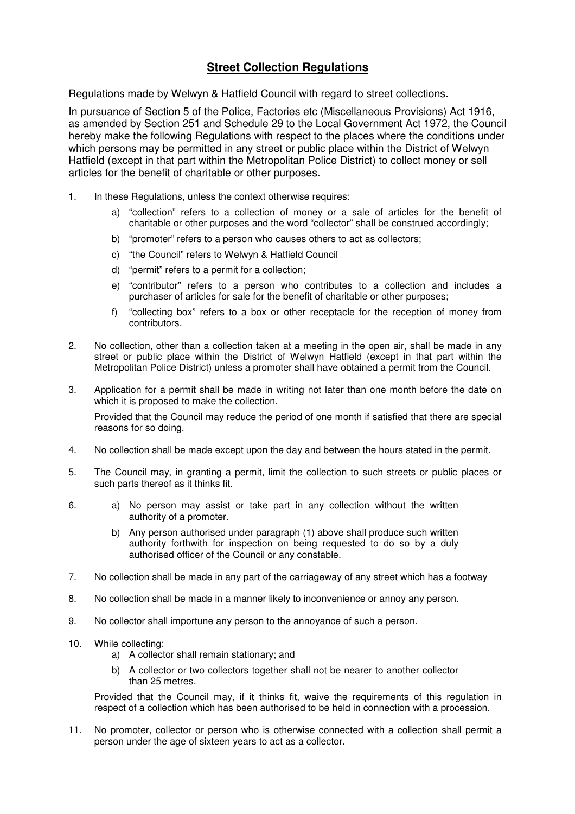## **Street Collection Regulations**

Regulations made by Welwyn & Hatfield Council with regard to street collections.

In pursuance of Section 5 of the Police, Factories etc (Miscellaneous Provisions) Act 1916, as amended by Section 251 and Schedule 29 to the Local Government Act 1972, the Council hereby make the following Regulations with respect to the places where the conditions under which persons may be permitted in any street or public place within the District of Welwyn Hatfield (except in that part within the Metropolitan Police District) to collect money or sell articles for the benefit of charitable or other purposes.

- 1. In these Regulations, unless the context otherwise requires:
	- a) "collection" refers to a collection of money or a sale of articles for the benefit of charitable or other purposes and the word "collector" shall be construed accordingly;
	- b) "promoter" refers to a person who causes others to act as collectors;
	- c) "the Council" refers to Welwyn & Hatfield Council
	- d) "permit" refers to a permit for a collection;
	- e) "contributor" refers to a person who contributes to a collection and includes a purchaser of articles for sale for the benefit of charitable or other purposes;
	- f) "collecting box" refers to a box or other receptacle for the reception of money from contributors.
- 2. No collection, other than a collection taken at a meeting in the open air, shall be made in any street or public place within the District of Welwyn Hatfield (except in that part within the Metropolitan Police District) unless a promoter shall have obtained a permit from the Council.
- 3. Application for a permit shall be made in writing not later than one month before the date on which it is proposed to make the collection.

Provided that the Council may reduce the period of one month if satisfied that there are special reasons for so doing.

- 4. No collection shall be made except upon the day and between the hours stated in the permit.
- 5. The Council may, in granting a permit, limit the collection to such streets or public places or such parts thereof as it thinks fit.
- 6. a) No person may assist or take part in any collection without the written authority of a promoter.
	- b) Any person authorised under paragraph (1) above shall produce such written authority forthwith for inspection on being requested to do so by a duly authorised officer of the Council or any constable.
- 7. No collection shall be made in any part of the carriageway of any street which has a footway
- 8. No collection shall be made in a manner likely to inconvenience or annoy any person.
- 9. No collector shall importune any person to the annoyance of such a person.
- 10. While collecting:
	- a) A collector shall remain stationary; and
	- b) A collector or two collectors together shall not be nearer to another collector than 25 metres.

 Provided that the Council may, if it thinks fit, waive the requirements of this regulation in respect of a collection which has been authorised to be held in connection with a procession.

11. No promoter, collector or person who is otherwise connected with a collection shall permit a person under the age of sixteen years to act as a collector.